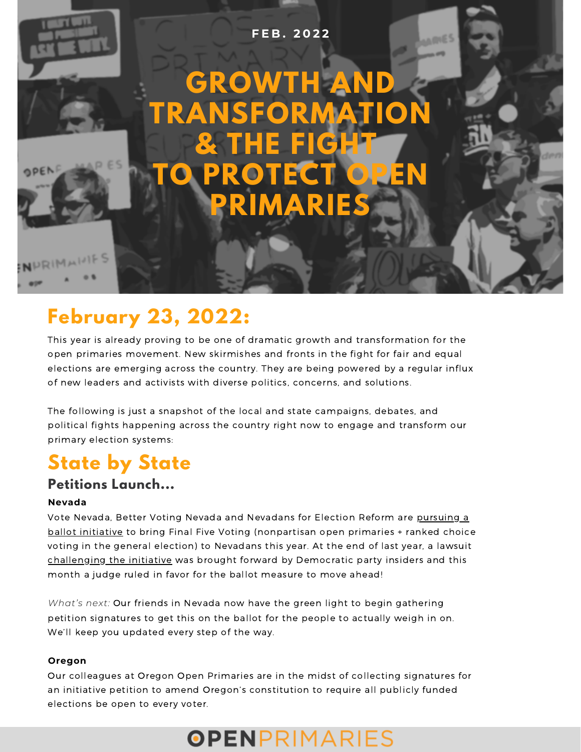

# **February 23, 2022:**

This year is already proving to be one of dramatic growth and transformation for the open primaries movement. New skirmishes and fronts in the fight for fair and equal elections are emerging across the country. They are being powered by a regular influx of new leaders and activists with diverse politics, concerns, and solutions.

The following is just a snapshot of the local and state campaigns, debates, and political fights happening across the country right now to engage and transform our primary election systems:

## **State by State**

### **Petitions Launch...**

### **Nevada**

Vote [Nevada,](https://vote-nevada.org/) Better Voting [Nevada](https://thenevadaindependent.com/article/better-voting-nevada-initiative-by-nevadans-for-nevadans) and [Nevadans](https://nevadansforelectionreform.org/) for Election Reform are pursuing a ballot initiative to bring Final Five Voting [\(nonpartisan](https://thenevadaindependent.com/article/better-voting-nevada-initiative-by-nevadans-for-nevadans) open primaries + ranked choice voting in the general election) to Nevadans this year. At the end of last year, a lawsuit [challenging](https://thenevadaindependent.com/article/judge-rules-in-favor-of-ballot-measure-for-open-primaries-ranked-choice-voting?fbclid=IwAR0BJ-LGVSGFqgHvctQgj7IloKkuv0zBmMTuZgDfdsyhxH8jq2xggQGaOhk) the initiative was brought forward by Democratic party insiders and this month a judge ruled in favor for the ballot measure to move ahead!

*What's next:* Our friends in Nevada now have the green light to begin gathering petition signatures to get this on the ballot for the people to actually weigh in on. We'll keep you updated every step of the way.

#### **Oregon**

Our colleagues at Oregon Open Primaries are in the midst of collecting signatures for an initiative petition to amend Oregon's constitution to require all publicly funded elections be open to every voter.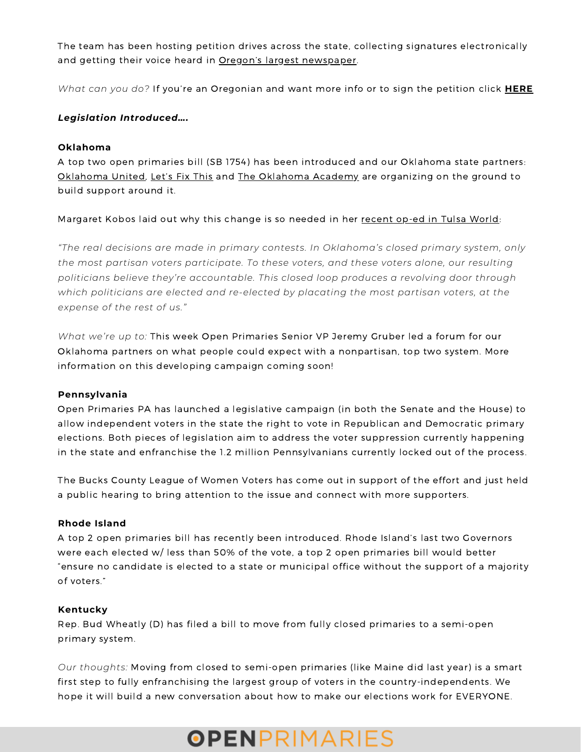The team has been hosting petition drives across the state, collecting signatures electronically and getting their voice heard in Oregon's largest [newspaper.](https://www.oregonlive.com/opinion/2021/12/opinion-ensuring-free-and-equal-elections-calls-for-open-primary-initiative.html?fbclid=IwAR3kFcGpPga7fjMzeUvHPISLvuwkkndwJdwdE4ce8buz1Z1y1T2abIUN_YU)

*What can you do?* If you're an Oregonian and want more info or to sign the petition click **[HERE](https://oregonopenprimaries.org/initiative-petition/)**

#### *Legislation Introduced….*

#### **Oklahoma**

A top two open primaries bill (SB 1754) has been introduced and our Oklahoma state partners: [Oklahoma](https://okacademy.org/) United, [Let's](https://letsfixthis.org/) Fix This and The Oklahoma Academy are organizing on the ground to build support around it.

Margaret Kobos laid out why this change is so needed in her recent op-ed in Tulsa [World](https://tulsaworld.com/opinion/columnists/column-oklahomas-political-middle-could-gain-a-voice-with-open-primaries/article_f66eb476-8a1a-11ec-a66d-bf40dd36ec56.html):

*"The real decisions are made in primary contests. In Oklahoma's closed primary system, only the most partisan voters participate. To these voters, and these voters alone, our resulting politicians believe they're accountable. This closed loop produces a revolving door through which politicians are elected and re-elected by placating the most partisan voters, at the expense of the rest of us."*

*What we're up to:* This week Open Primaries Senior VP Jeremy Gruber led a forum for our Oklahoma partners on what people could expect with a nonpartisan, top two system. More information on this developing campaign coming soon!

#### **Pennsylvania**

Open [Primaries](https://www.openprimariespa.org/) PA has launched a legislative campaign (in both the Senate and the House) to allow independent voters in the state the right to vote in Republican and Democratic primary elections. Both pieces of legislation aim to address the voter suppression currently happening in the state and enfranchise the 1.2 million Pennsylvanians currently locked out of the process.

The Bucks County League of Women Voters has come out in support of the effort and just held a public hearing to bring attention to the issue and connect with more [supporters.](https://www.thereporteronline.com/2022/02/08/bucks-league-of-women-voters-calls-for-open-primaries/)

#### **Rhode Island**

A top 2 open primaries bill has recently been [introduced](https://www.thenewportbuzz.com/proposed-bill-would-create-open-primaries-in-rhode-island/34584?fbclid=IwAR0YOoKWm21sKMNwh9CiPdkNe2ijVTi5ENXImsm0-OVWJF_0TuqWpJ9IoZ8). Rhode Island's last two Governors were each elected w/ less than 50% of the vote, a top 2 open primaries bill would better "ensure no candidate is elected to a state or municipal office without the support of a majority of voters."

#### **Kentucky**

Rep. Bud Wheatly (D) has [filed](https://www.kentuckyfried.com/n-ky-democrat-files-bill-to-allow-independents-to-vote-in-the-primary-of-their-choice/) a bill to move from fully closed primaries to a semi-open primary system.

*Our thoughts:* Moving from closed to semi-open primaries (like Maine did last year) is a smart first step to fully enfranchising the largest group of voters in the country-independents. We hope it will build a new conversation about how to make our elections work for EVERYONE.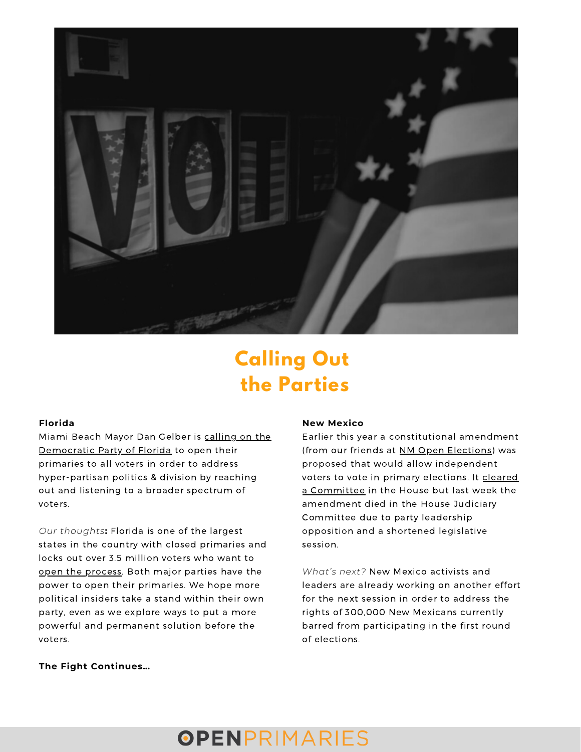

## **Calling Out the Parties**

#### **Florida**

Miami Beach Mayor Dan Gelber is calling on the [Democratic](https://floridapolitics.com/archives/491120-dan-gelber-calls-on-democrats-to-open-their-primaries/?fbclid=IwAR0E1_7R-6-K6thNO4FyPvK15JJw5My603hsx6baTJbWQgJly5jatvNeWzQ) Party of Florida to open their primaries to all voters in order to address hyper-partisan politics & division by reaching out and listening to a broader spectrum of voters.

*Our thoughts***:** Florida is one of the largest states in the country with closed primaries and locks out over 3.5 million voters who want to open the [process.](https://ivn.us/posts/despite-57-of-florida-voters-approving-open-primaries-the-two-party-establishment-still-won) Both major parties have the power to open their primaries. We hope more political insiders take a stand within their own party, even as we explore ways to put a more powerful and permanent solution before the voters.

#### **New Mexico**

Earlier this year a constitutional amendment (from our friends at NM Open [Elections\)](https://www.nmopenelections.org/?fbclid=IwAR0Z0jiIA9PvUJetZAQ4_f-aWLHCWQsqsscWGV_eBAOW-2PP3AeZDQLexes) was proposed that would allow independent voters to vote in primary elections. It cleared a [Committee](https://bit.ly/330Gpu6) in the House but last week the amendment died in the House Judiciary Committee due to party leadership opposition and a shortened legislative session.

*What's next?* New Mexico activists and leaders are already working on another effort for the next session in order to address the rights of 300,000 New Mexicans currently barred from participating in the first round of elections.

#### **The Fight Continues…**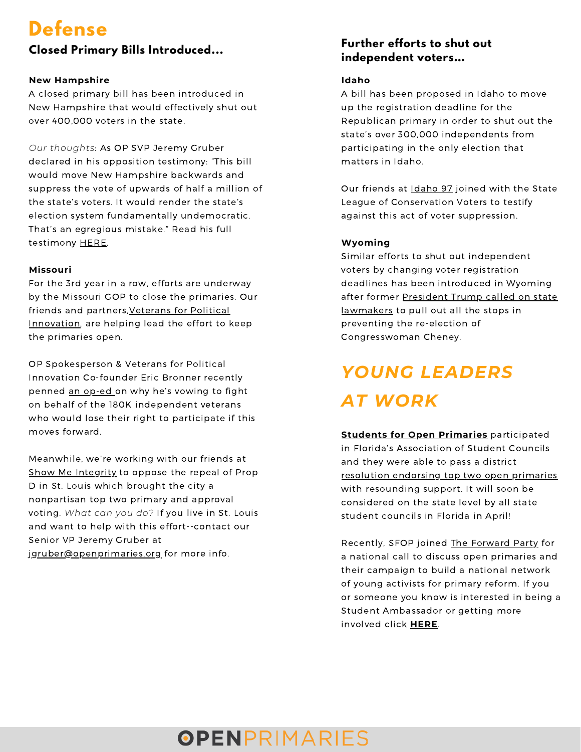## **Defense**

### **Closed Primary Bills Introduced...**

#### **New Hampshire**

A closed primary bill has been [introduced](https://www.ledgertranscript.com/Proposed-legislation-would-close-New-Hampshire-s-primary-elections-to-undeclared-voters-44266835) in New Hampshire that would effectively shut out over 400,000 voters in the state.

*Our thoughts*: As OP SVP Jeremy Gruber declared in his opposition testimony: "This bill would move New Hampshire backwards and suppress the vote of upwards of half a million of the state's voters. It would render the state's election system fundamentally undemocratic. That's an egregious mistake." Read his full testimony [HERE.](https://www.openprimaries.org/wp-content/uploads/2022/02/HB1166-Opposition-Testimony-Open-Primaries-1.pdf)

### **Missouri**

For the 3rd year in a row, efforts are underway by the Missouri GOP to close the primaries. Our friends and partners, Veterans for Political Innovation, are helping lead the effort to keep the primaries open.

OP Spokesperson & Veterans for Political Innovation Co-founder Eric Bronner recently penned an [op-ed](https://www.timesnewspapers.com/webster-kirkwoodtimes/veteran-vows-to-push-back-against-closed-primaries/article_070ec7cc-851f-11ec-81f5-676f2ce09f30.html?fbclid=IwAR2nfZBMq_9_h1l1lTrk6RUsJ9SFBgcP4tm5gzX5Mv1DjGU83ijGeZ7fYmg) on why he's vowing to fight on behalf of the 180K independent veterans who would lose their right to participate if this moves forward.

Meanwhile, we're working with our friends at Show Me [Integrity](https://www.showmeintegrity.org/) to oppose the repeal of Prop D in St. Louis which brought the city a nonpartisan top two primary and approval voting. *What can you do?* If you live in St. Louis and want to help with this effort--contact our Senior VP Jeremy Gruber at [jgruber@openprimaries.org](mailto:jgruber@openprimaries.org) for more info.

### **Further efforts to shut out independent voters…**

### **Idaho**

A bill has been [proposed](https://www.ktvb.com/article/news/politics/proposed-idaho-gop-rule-central-committee-would-nominate-candidates/277-f448cbe2-801c-4540-bb94-f8cdfa0317b8?fbclid=IwAR0YOoKWm21sKMNwh9CiPdkNe2ijVTi5ENXImsm0-OVWJF_0TuqWpJ9IoZ8) in Idaho to move up the registration deadline for the Republican primary in order to shut out the state's over 300,000 independents from participating in the only election that matters in Idaho.

Our friends at [Idaho](https://www.theidaho97.org/) 97 joined with the State League of Conservation Voters to testify against this act of voter suppression.

### **Wyoming**

Similar efforts to shut out independent voters by changing voter registration deadlines has been introduced in Wyoming after former President Trump called on state [lawmakers](https://www.newsweek.com/trump-backs-bill-thatd-prevent-democrats-voting-cheney-gop-primary-1680316) to pull out all the stops in preventing the re-election of Congresswoman Cheney.

# *YOUNG LEADERS AT WORK*

**Students for Open [Primaries](https://studentsforopenprimaries.org/)** participated in Florida's Association of Student Councils and they were able to pass a district [resolution](https://twitter.com/studentsforop/status/1473838772374720517) endorsing top two open primaries with resounding support. It will soon be considered on the state level by all state student councils in Florida in April!

Recently, SFOP joined The [Forward](https://www.forwardparty.com/) Party for a national call to discuss open primaries and their campaign to build a national network of young activists for primary reform. If you or someone you know is interested in being a Student Ambassador or getting more involved click **[HERE](https://studentsforopenprimaries.org/get-involved/)**.